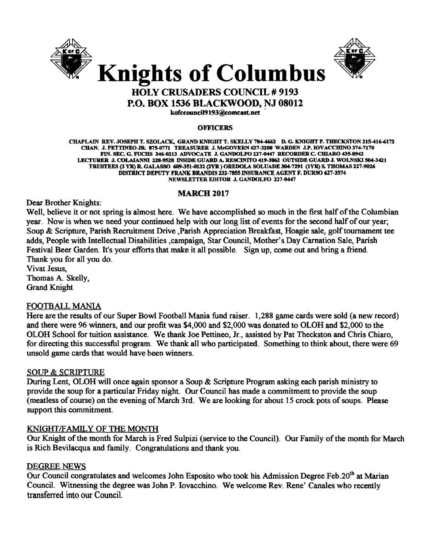



# HOLY CRUSADERS COUNCIL # 9193 P.O. BOX 1536 BLACKWOOD, NJ 08012

kofccouncil9193@comcast.net

#### **OFFICERS**

CHAPLAIN REV. JOSEPH T. SZOLACK. GRAND KNIGHT T. SKELLY 7844662 D. G. KNIGHT P. TllECKSTON 115-416-6171 CHAN. J. PETTINEO JR. 875-0771 TREASURER J. McGOVERN 627-3208 WARDEN J.P. IOVACCHINO 374-7170 FIN. SEC. G. FUCHS 346-0213 ADVOCATE J. GANDOLFO 227-0447 RECORDER C. CHIARO 435-8942 LECTURER J. COLAIANNI 228-9528 INSIDE GUARD A. RESCINITO 419-3862 OUTSIDE GUARD J. WOLNSKI 504-3421 TRUSTEES (3 YR) R. GALASSO 609-351-0132 (2YR) OREDOLA SOLUADE 304-7291 (1YR) S. THOMAS 227-9026 DI8TRICf DEPUTY FRANK BRANDIS 232-7855 INSURANCE AGENT F. DURSO 627-3574 NEWSLETTER EDITOR J. GANDOLFO 227-0447

# MARCH 2017

Dear Brother Knights:

Well, believe it or not spring is almost here. We have accomplished so much in the first half of the Columbian year. Now is when we need your continued help with our long list of events for the second half of our year; Soup & Scripture, Parish Recruitment Drive ,Parish Appreciation Breakfast, Hoagie sale, golf tournament tee adds, People with Intellectual Disabilities ,campaign, Star Council, Mother's Day Carnation Sale, Parish Festival Beer Garden. It's your efforts that make it all possible. Sign up, come out and bring a friend. Thank you for all you do.

Vivat Jesus, Thomas A. Skelly, Grand Knight

# FOOTBALL MANIA

Here are the results of our Super Bowl Football Mania fund raiser. 1,288 game cards were sold (a new record) and there were 96 winners, and our profit was \$4,000 and \$2,000 was donated to OLOH and \$2,000 to the OLOH School for tuition assistance. We thank Joe Pettineo, Jr., assisted by Pat Theckston and Chris Chiaro, for directing this successful program. We thank all who participated. Something to think about, there were 69 unsold game cards that would have been winners.

# SOUP & SCRIPTURE

During Lent, OLOH will once again sponsor a Soup & Scripture Program asking each parish ministry to provide the soup for a particular Friday night. Our Council has made a commitment to provide the soup (meatless of course) on the evening of March 3rd. We are looking for about 15 crock pots of soups. Please support this commitment.

# KNIGHT/FAMILY OF THE MONTH

Our Knight of the month for March is Fred Sulpizi (service to the Council). Our Family of the month for March is Rich Bevilacqua and family. Congratulations and thank you.

# DEGREE NEWS

Our Council congratulates and welcomes John Esposito who took his Admission Degree Feb.20<sup>th</sup> at Marian Council. Witnessing the degree was John P. Iovacchino. We welcome Rev. Rene' Canales who recently transferred into our Council.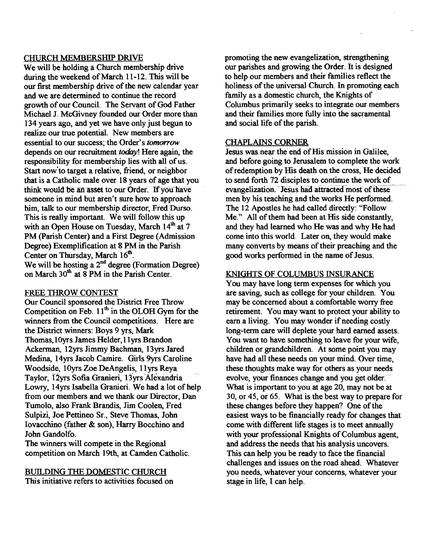# CHURCH MEMBERSHIP DRIVE

We will be holding a Church membership drive during the weekend of March 11-12. This will be our first membership drive of the new calendar year and we are determined to continue the record growth of our Council. The Servant of God Father Michael 1. McGivney founded our Order more than 134 years ago, and yet we have only just begun to realize our true potential. New members are essential to our success; the Order's *tomorrow*  depends on our recruitment *today!* Here again, the responsibility for membership lies with all of us. Start now'to target a relative, friend, or neighbor that is a Catholic male over 18 years of age that you think would be an asset to our Order. If you have someone in mind but aren't sure how to approach him, talk to our membership director, Fred Durso. This is really important. We will follow this up with an Open House on Tuesday, March 14th at 7 PM (Parish Center) and a First Degree (Admission Degree) Exemplification at 8 PM in the Parish Center on Thursday, March 16<sup>th</sup>. We will be hosting a  $2^{nd}$  degree (Formation Degree) on March  $30<sup>th</sup>$  at 8 PM in the Parish Center.

# FREE THROW CONTEST

Our Council sponsored the District Free Throw Competition on Feb.  $11<sup>th</sup>$  in the OLOH Gym for the winners from the Council competitions. Here are the District winners: Boys 9 yrs, Mark Thomas, 10yrs James Helder, 11yrs Brandon Ackerman, 12yrs Jimmy Bachman, 13yrs Jared Medina, 14yrs Jacob Camire. Girls 9yrs Caroline Woodside, 10yrs Zoe DeAngelis, 11yrs Reya Taylor, 12yrs Sofia Granieri, 13yrs Alexandria Lowry, 14yrs Isabella Granieri. We had a lot of help from our members and we thank our Director, Dan Tumolo, also Frank: Brandis, Jim Coolen, Fred Sulpizi, Joe Pettineo Sr., Steve Thomas, John Iovacchino (father & son), Harry Bocchino and John Gandolfo.

The winners will compete in the Regional competition on March 19th, at Camden Catholic.

# BUILDING THE DOMESTIC CHURCH

This initiative refers to activities focused on

promoting the new evangelization, strengthening our parishes and growing the Order. It is designed to help our members and their families reflect the holiness of the universal Church. In promoting each family as a domestic church, the Knights of Columbus primarily seeks to integrate our members and their families more fully into the sacramental and social life of the parish.

# CHAPLAINS CORNER

Jesus was near the end of His mission in Galilee, and before going to Jerusalem to complete the work ofredemption by His death on the cross, He decided to send forth 72 disciples to continue the work of evangelization. Jesus had attracted most of these men by his teaching and the works He performed. The 12 Apostles he had called directly: "Follow Me." All of them had been at His side constantly, and they had learned who He was and why He had come into this world. Later on, they would make many converts by means of their preaching and the good works performed in the name of Jesus.

# KNIGHTS OF COLUMBUS INSURANCE

You may have long term expenses for which you are saving, such as college for your children. You may be concerned about a comfortable worry free retirement. You may want to protect your ability to earn a living. You may wonder if needing costly long-term care will deplete your hard earned assets. You want to have something to leave for your wife, children or grandchildren. At some point you may have had all these needs on your mind. Over time, these thoughts make way for others as your needs evolve, your finances change and you get older. What is important to you at age 20, may not be at 30, or 45, or 65. What is the best way to prepare for these changes before they happen? One of the easiest ways to be financially ready for changes that come with different life stages is to meet annually with your professional Knights of Columbus agent, and address the needs that his analysis uncovers. This can help you be ready to face the financial challenges and issues on the road ahead. Whatever you needs, whatever your concerns, whatever your stage in life, I can help.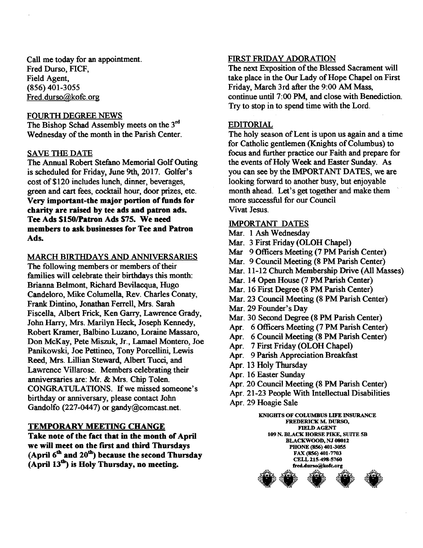Call me today for an appointment. Fred Durso, FICF, Field Agent, (856) 401-3055 Fred.durso@kofc.org

#### FOURTH DEGREE NEWS

The Bishop Schad Assembly meets on the 3<sup>rd</sup> Wednesday of the month in the Parish Center.

# SAVE THE DATE

The Annual Robert Stefano Memorial Golf Outing is scheduled for Friday, June 9th, 2017. Golfer's cost of \$120 includes lunch, dinner, beverages, green and cart fees, cocktail hour, door prizes, etc. Very important-the major portion of funds for charity are raised by tee ads and patron ads. Tee Ads \$150/Patron Ads \$75. We need members to ask businesses for Tee and Patron Ads.

# MARCH BIRTHDAYS AND ANNIVERSARIES

The following members or members of their families will celebrate their birthdays this month: Brianna Belmont, Richard Bevilacqua, Hugo Candeloro, Mike Columella, Rev. Charles Conaty, Frank Dintino, Jonathan Ferrell, Mrs. Sarah Fiscella, Albert Frick, Ken Garry, Lawrence Grady, John Harry, Mrs. Marilyn Heck, Joseph Kennedy, Robert Kramer, Balbino Luzano, Loraine Massaro, Don McKay, Pete Miszuk, Jr., Lamael Montero, Joe Panikowski, Joe Pettineo, Tony Porcellini, Lewis Reed, Mrs. Lillian Steward, Albert Tucci, and Lawrence Villarose. Members celebrating their anniversaries are: Mr. & Mrs. Chip Tolen. CONGRATULATIONS. If we missed someone's birthday or anniversary, please contact John Gandolfo (227-0447) or gandy@comcast.net.

# TEMPORARY MEETING CHANGE

Take note of the fact that in the month of April we will meet on the first and third Thursdays (April  $6<sup>th</sup>$  and  $20<sup>th</sup>$ ) because the second Thursday  $(Apri13<sup>th</sup>)$  is Holy Thursday, no meeting.

#### FIRST FRIDAY ADORATION

The next Exposition of the Blessed Sacrament will take place in the Our Lady of Hope Chapel on First Friday, March 3rd after the 9:00 AM Mass, continue until 7:00 PM, and close with Benediction. Try to stop in to spend time with the Lord.

#### EDITORIAL

The holy season of Lent is upon us again and a time for Catholic gentlemen (Knights of Columbus) to focus and further practice our Faith and prepare for the events of Holy Week and Easter Sunday. As you can see by the IMPORT ANT DATES, we are looking forward to another busy, but enjoyable month ahead. Let's get together and make them more successful for our Council Vivat Jesus.

#### IMPORTANT DATES

Mar. 1 Ash Wednesday Mar. 3 First Friday (OLOH Chapel) Mar 9 Officers Meeting (7 PM Parish Center) Mar. 9 Council Meeting (8 PM Parish Center) Mar. 11-12 Church Membership Drive (All Masses) Mar. 14 Open House (7 PM Parish Center) Mar. 16 First Degree (8 PM Parish Center) Mar. 23 Council Meeting (8 PM Parish Center) Mar. 29 Founder's Day Mar. 30 Second Degree (8 PM Parish Center) Apr. 6 Officers Meeting (7 PM Parish Center) Apr. 6 Council Meeting (8 PM Parish Center) Apr. 7 First Friday (OLOH Chapel) Apr. 9 Parish Appreciation Breakfast Apr. 13 Holy Thursday Apr. 16 Easter Sunday Apr. 20 Council Meeting (8 PM Parish Center) Apr. 21-23 People With Intellectual Disabilities Apr. 29 Hoagie Sale

> FRUNC (856) 401-3055<br>
> FAX (856) 401-3053<br>
> CELL 215-498-5760<br>
> fred.durso@kofc.org<br>
> fred.durso@kofc.org KNIGHTS OF COLUMBUS LIFE INSURANCE FREDERICK M. DURSO, FIELD AGENT 109 N. BLACK HORSE PIKE, SUITE 5B BLACKWOOD, NJ 08012 PHONE (856) 401-3055 FAX (856) 401-7703 CELL 215-498-5760 fred.durso@kofc.org